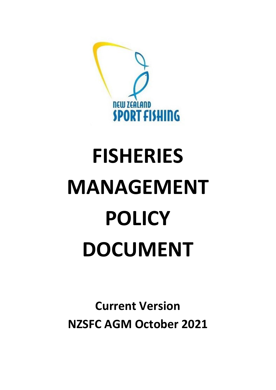

# **FISHERIES MANAGEMENT POLICY DOCUMENT**

**Current Version NZSFC AGM October 2021**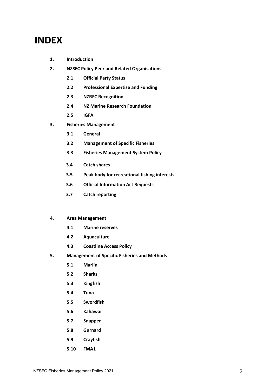# **INDEX**

- **1. Introduction**
- **2. NZSFC Policy Peer and Related Organisations**
	- **2.1 Official Party Status**
	- **2.2 Professional Expertise and Funding**
	- **2.3 NZRFC Recognition**
	- **2.4 NZ Marine Research Foundation**
	- **2.5 IGFA**
- **3. Fisheries Management** 
	- **3.1 General**
	- **3.2 Management of Specific Fisheries**
	- **3.3 Fisheries Management System Policy**
	- **3.4 Catch shares**
	- **3.5 Peak body for recreational fishing interests**
	- **3.6 Official Information Act Requests**
	- **3.7 Catch reporting**

#### **4. Area Management**

- **4.1 Marine reserves**
- **4.2 Aquaculture**
- **4.3 Coastline Access Policy**
- **5. Management of Specific Fisheries and Methods**
	- **5.1 Marlin**
	- **5.2 Sharks**
	- **5.3 Kingfish**
	- **5.4 Tuna**
	- **5.5 Swordfish**
	- **5.6 Kahawai**
	- **5.7 Snapper**
	- **5.8 Gurnard**
	- **5.9 Crayfish**
	- **5.10 FMA1**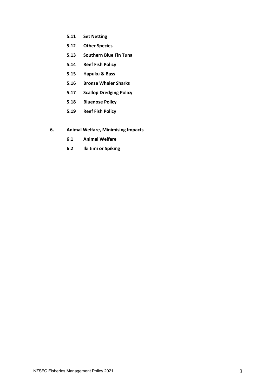- **5.11 Set Netting**
- **5.12 Other Species**
- **5.13 Southern Blue Fin Tuna**
- **5.14 Reef Fish Policy**
- **5.15 Hapuku & Bass**
- **5.16 Bronze Whaler Sharks**
- **5.17 Scallop Dredging Policy**
- **5.18 Bluenose Policy**
- **5.19 Reef Fish Policy**
- **6. Animal Welfare, Minimising Impacts**
	- **6.1 Animal Welfare**
	- **6.2 Iki Jimi or Spiking**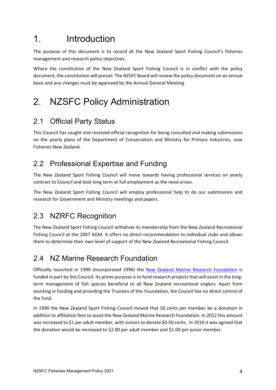# 1. Introduction

The purpose of this document is to record all the New Zealand Sport Fishing Council's fisheries management and research policy objectives.

Where the constitution of the New Zealand Sport Fishing Council is in conflict with the policy document, the constitution will prevail. The NZSFC Board will review the policy document on an annual basis and any changes must be approved by the Annual General Meeting.

# 2. NZSFC Policy Administration

## 2.1 Official Party Status

This Council has sought and received official recognition for being consulted and making submissions on the yearly plans of the Department of Conservation and Ministry for Primary Industries, now Fisheries New Zealand.

## 2.2 Professional Expertise and Funding

The New Zealand Sport Fishing Council will move towards having professional services on yearly contract to Council and look long term at full employment as the need arises.

The New Zealand Sport Fishing Council will employ professional help to do our submissions and research for Government and Ministry meetings and papers.

## 2.3 NZRFC Recognition

The New Zealand Sport Fishing Council withdrew its membership from the New Zealand Recreational Fishing Council at the 2007 AGM. It offers no direct recommendation to individual clubs and allows them to determine their own level of support of the New Zealand Recreational Fishing Council.

## 2.4 NZ Marine Research Foundation

Officially launched in 1999 (Incorporated 1996) the [New Zealand Marine Research Foundation](https://www.nzmrf.org.nz/) is funded in part by this Council. Its prime purpose is to fund research projects that will assist in the longterm management of fish species beneficial to all New Zealand recreational anglers. Apart from assisting in funding and providing the Trustees of this Foundation, the Council has no direct control of the fund.

In 1990 the New Zealand Sport Fishing Council moved that 50 cents per member be a donation in addition to affiliation fees to assist the New Zealand Marine Research Foundation. In 2012 this amount was increased to \$1 per adult member, with Juniors to donate \$0.50 cents. In 2016 it was agreed that the donation would be increased to \$2.00 per adult member and \$1.00 per junior member.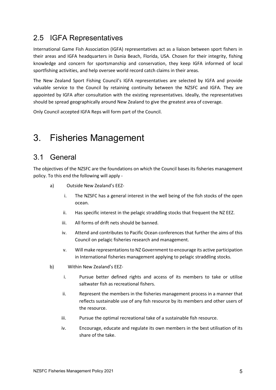## 2.5 IGFA Representatives

International Game Fish Association (IGFA) representatives act as a liaison between sport fishers in their areas and IGFA headquarters in Dania Beach, Florida, USA. Chosen for their integrity, fishing knowledge and concern for sportsmanship and conservation, they keep IGFA informed of local sportfishing activities, and help oversee world record catch claims in their areas.

The New Zealand Sport Fishing Council's IGFA representatives are selected by IGFA and provide valuable service to the Council by retaining continuity between the NZSFC and IGFA. They are appointed by IGFA after consultation with the existing representatives. Ideally, the representatives should be spread geographically around New Zealand to give the greatest area of coverage.

Only Council accepted IGFA Reps will form part of the Council.

# 3. Fisheries Management

## 3.1 General

The objectives of the NZSFC are the foundations on which the Council bases its fisheries management policy. To this end the following will apply -

- a) Outside New Zealand's EEZ
	- i. The NZSFC has a general interest in the well being of the fish stocks of the open ocean.
	- ii. Has specific interest in the pelagic straddling stocks that frequent the NZ EEZ.
	- iii. All forms of drift nets should be banned.
	- iv. Attend and contributes to Pacific Ocean conferences that further the aims of this Council on pelagic fisheries research and management.
	- v. Will make representations to NZ Government to encourage its active participation in International fisheries management applying to pelagic straddling stocks.
- b) Within New Zealand's EEZ
	- i. Pursue better defined rights and access of its members to take or utilise saltwater fish as recreational fishers.
	- ii. Represent the members in the fisheries management process in a manner that reflects sustainable use of any fish resource by its members and other users of the resource.
	- iii. Pursue the optimal recreational take of a sustainable fish resource.
	- iv. Encourage, educate and regulate its own members in the best utilisation of its share of the take.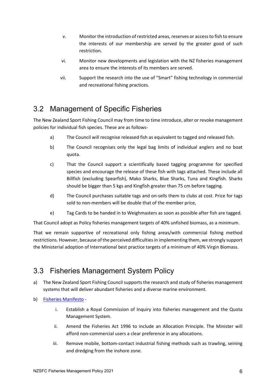- v. Monitor the introduction of restricted areas, reserves or access to fish to ensure the interests of our membership are served by the greater good of such restriction.
- vi. Monitor new developments and legislation with the NZ fisheries management area to ensure the interests of its members are served.
- vii. Support the research into the use of "Smart" fishing technology in commercial and recreational fishing practices.

## 3.2 Management of Specific Fisheries

The New Zealand Sport Fishing Council may from time to time introduce, alter or revoke management policies for individual fish species. These are as follows-

- a) The Council will recognise released fish as equivalent to tagged and released fish.
- b) The Council recognises only the legal bag limits of individual anglers and no boat quota.
- c) That the Council support a scientifically based tagging programme for specified species and encourage the release of these fish with tags attached. These include all Billfish (excluding Spearfish), Mako Sharks, Blue Sharks, Tuna and Kingfish. Sharks should be bigger than 5 kgs and Kingfish greater than 75 cm before tagging.
- d) The Council purchases suitable tags and on-sells them to clubs at cost. Price for tags sold to non-members will be double that of the member price,
- e) Tag Cards to be handed in to Weighmasters as soon as possible after fish are tagged.

That Council adopt as Policy fisheries management targets of 40% unfished biomass, as a minimum.

That we remain supportive of recreational only fishing areas/with commercial fishing method restrictions. However, because of the perceived difficulties in implementing them, we strongly support the Ministerial adoption of International best practice targets of a minimum of 40% Virgin Biomass.

## 3.3 Fisheries Management System Policy

- a) The New Zealand Sport Fishing Council supports the research and study of fisheries management systems that will deliver abundant fisheries and a diverse marine environment.
- b) [Fisheries Manifesto](https://legasea.co.nz/about-us/what-is-legasea/manifesto/)
	- i. Establish a Royal Commission of Inquiry into fisheries management and the Quota Management System.
	- ii. Amend the Fisheries Act 1996 to include an Allocation Principle. The Minister will afford non-commercial users a clear preference in any allocations.
	- iii. Remove mobile, bottom-contact industrial fishing methods such as trawling, seining and dredging from the inshore zone.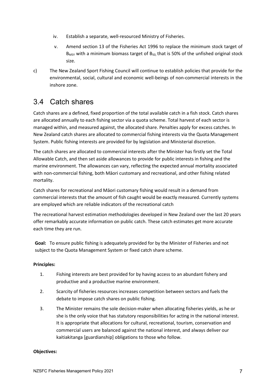- iv. Establish a separate, well-resourced Ministry of Fisheries.
- v. Amend section 13 of the Fisheries Act 1996 to replace the minimum stock target of  $B_{MSY}$  with a minimum biomass target of  $B_{50}$ , that is 50% of the unfished original stock size.
- c) The New Zealand Sport Fishing Council will continue to establish policies that provide for the environmental, social, cultural and economic well-beings of non-commercial interests in the inshore zone.

## 3.4 Catch shares

Catch shares are a defined, fixed proportion of the total available catch in a fish stock. Catch shares are allocated annually to each fishing sector via a quota scheme. Total harvest of each sector is managed within, and measured against, the allocated share. Penalties apply for excess catches. In New Zealand catch shares are allocated to commercial fishing interests via the Quota Management System. Public fishing interests are provided for by legislation and Ministerial discretion.

The catch shares are allocated to commercial interests after the Minister has firstly set the Total Allowable Catch, and then set aside allowances to provide for public interests in fishing and the marine environment. The allowances can vary, reflecting the expected annual mortality associated with non-commercial fishing, both Māori customary and recreational, and other fishing related mortality.

Catch shares for recreational and Māori customary fishing would result in a demand from commercial interests that the amount of fish caught would be exactly measured. Currently systems are employed which are reliable indicators of the recreational catch

The recreational harvest estimation methodologies developed in New Zealand over the last 20 years offer remarkably accurate information on public catch. These catch estimates get more accurate each time they are run.

**Goal:** To ensure public fishing is adequately provided for by the Minister of Fisheries and not subject to the Quota Management System or fixed catch share scheme.

#### **Principles:**

- 1. Fishing interests are best provided for by having access to an abundant fishery and productive and a productive marine environment.
- 2. Scarcity of fisheries resources increases competition between sectors and fuels the debate to impose catch shares on public fishing.
- 3. The Minister remains the sole decision-maker when allocating fisheries yields, as he or she is the only voice that has statutory responsibilities for acting in the national interest. It is appropriate that allocations for cultural, recreational, tourism, conservation and commercial users are balanced against the national interest, and always deliver our kaitiakitanga [guardianship] obligations to those who follow.

#### **Objectives:**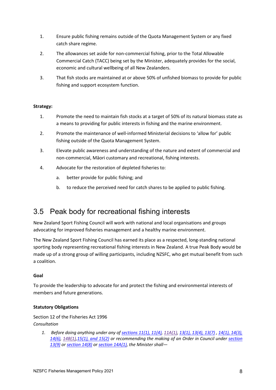- 1. Ensure public fishing remains outside of the Quota Management System or any fixed catch share regime.
- 2. The allowances set aside for non-commercial fishing, prior to the Total Allowable Commercial Catch (TACC) being set by the Minister, adequately provides for the social, economic and cultural wellbeing of all New Zealanders.
- 3. That fish stocks are maintained at or above 50% of unfished biomass to provide for public fishing and support ecosystem function.

#### **Strategy:**

- 1. Promote the need to maintain fish stocks at a target of 50% of its natural biomass state as a means to providing for public interests in fishing and the marine environment.
- 2. Promote the maintenance of well-informed Ministerial decisions to 'allow for' public fishing outside of the Quota Management System.
- 3. Elevate public awareness and understanding of the nature and extent of commercial and non-commercial, Māori customary and recreational, fishing interests.
- 4. Advocate for the restoration of depleted fisheries to:
	- a. better provide for public fishing; and
	- b. to reduce the perceived need for catch shares to be applied to public fishing.

## 3.5 Peak body for recreational fishing interests

New Zealand Sport Fishing Council will work with national and local organisations and groups advocating for improved fisheries management and a healthy marine environment.

The New Zealand Sport Fishing Council has earned its place as a respected, long-standing national sporting body representing recreational fishing interests in New Zealand. A true Peak Body would be made up of a strong group of willing participants, including NZSFC, who get mutual benefit from such a coalition.

#### **Goal**

To provide the leadership to advocate for and protect the fishing and environmental interests of members and future generations.

#### **Statutory Obligations**

Section 12 of the Fisheries Act 1996 *Consultation*

> *1. Before doing anything under any o[f sections 11\(1\), 11\(4\),](http://www.legislation.govt.nz/act/public/1996/0088/latest/whole.html#DLM395397) [11A\(1\),](http://www.legislation.govt.nz/act/public/1996/0088/latest/whole.html#DLM395502) [13\(1\), 13\(4\), 13\(7\)](http://www.legislation.govt.nz/act/public/1996/0088/latest/whole.html#DLM395507) [, 14\(1\), 14\(3\),](http://www.legislation.govt.nz/act/public/1996/0088/latest/whole.html#DLM395514)  [14\(6\),](http://www.legislation.govt.nz/act/public/1996/0088/latest/whole.html#DLM395514) [14B\(1\)](http://www.legislation.govt.nz/act/public/1996/0088/latest/whole.html#DLM395520)[,15\(1\), and 15\(2\)](http://www.legislation.govt.nz/act/public/1996/0088/latest/whole.html#DLM395524) or recommending the making of an Order in Council under [section](http://www.legislation.govt.nz/act/public/1996/0088/latest/whole.html#DLM395507)  [13\(9\)](http://www.legislation.govt.nz/act/public/1996/0088/latest/whole.html#DLM395507) or [section 14\(8\)](http://www.legislation.govt.nz/act/public/1996/0088/latest/whole.html#DLM395514) o[r section 14A\(1\),](http://www.legislation.govt.nz/act/public/1996/0088/latest/whole.html#DLM395518) the Minister shall—*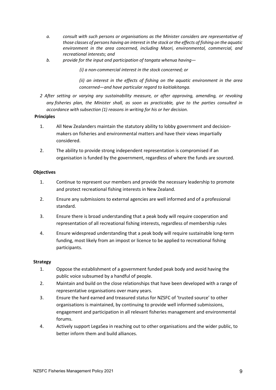- *a. consult with such persons or organisations as the Minister considers are representative of those classes of persons having an interest in the stock or the effects of fishing on the aquatic environment in the area concerned, including Maori, environmental, commercial, and recreational interests; and*
- *b. provide for the input and participation of tangata whenua having—*

*(i) a non-commercial interest in the stock concerned; or*

*(ii) an interest in the effects of fishing on the aquatic environment in the area concerned—and have particular regard to kaitiakitanga.*

*2 After setting or varying any sustainability measure, or after approving, amending, or revoking any fisheries plan, the Minister shall, as soon as practicable, give to the parties consulted in accordance with subsection (1) reasons in writing for his or her decision.*

#### **Principles**

- 1. All New Zealanders maintain the statutory ability to lobby government and decisionmakers on fisheries and environmental matters and have their views impartially considered.
- 2. The ability to provide strong independent representation is compromised if an organisation is funded by the government, regardless of where the funds are sourced.

#### **Objectives**

- 1. Continue to represent our members and provide the necessary leadership to promote and protect recreational fishing interests in New Zealand.
- 2. Ensure any submissions to external agencies are well informed and of a professional standard.
- 3. Ensure there is broad understanding that a peak body will require cooperation and representation of all recreational fishing interests, regardless of membership rules
- 4. Ensure widespread understanding that a peak body will require sustainable long-term funding, most likely from an impost or licence to be applied to recreational fishing participants.

#### **Strategy**

- 1. Oppose the establishment of a government funded peak body and avoid having the public voice subsumed by a handful of people.
- 2. Maintain and build on the close relationships that have been developed with a range of representative organisations over many years.
- 3. Ensure the hard earned and treasured status for NZSFC of 'trusted source' to other organisations is maintained, by continuing to provide well informed submissions, engagement and participation in all relevant fisheries management and environmental forums.
- 4. Actively support LegaSea in reaching out to other organisations and the wider public, to better inform them and build alliances.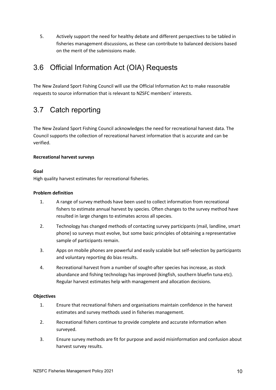5. Actively support the need for healthy debate and different perspectives to be tabled in fisheries management discussions, as these can contribute to balanced decisions based on the merit of the submissions made.

## 3.6 Official Information Act (OIA) Requests

The New Zealand Sport Fishing Council will use the Official Information Act to make reasonable requests to source information that is relevant to NZSFC members' interests.

## 3.7 Catch reporting

The New Zealand Sport Fishing Council acknowledges the need for recreational harvest data. The Council supports the collection of recreational harvest information that is accurate and can be verified.

#### **Recreational harvest surveys**

#### **Goal**

High quality harvest estimates for recreational fisheries.

#### **Problem definition**

- 1. A range of survey methods have been used to collect information from recreational fishers to estimate annual harvest by species. Often changes to the survey method have resulted in large changes to estimates across all species.
- 2. Technology has changed methods of contacting survey participants (mail, landline, smart phone) so surveys must evolve, but some basic principles of obtaining a representative sample of participants remain.
- 3. Apps on mobile phones are powerful and easily scalable but self-selection by participants and voluntary reporting do bias results.
- 4. Recreational harvest from a number of sought-after species has increase, as stock abundance and fishing technology has improved (kingfish, southern bluefin tuna etc). Regular harvest estimates help with management and allocation decisions.

#### **Objectives**

- 1. Ensure that recreational fishers and organisations maintain confidence in the harvest estimates and survey methods used in fisheries management.
- 2. Recreational fishers continue to provide complete and accurate information when surveyed.
- 3. Ensure survey methods are fit for purpose and avoid misinformation and confusion about harvest survey results.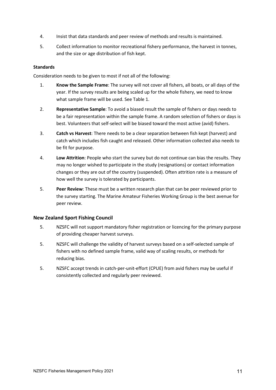- 4. Insist that data standards and peer review of methods and results is maintained.
- 5. Collect information to monitor recreational fishery performance, the harvest in tonnes, and the size or age distribution of fish kept.

#### **Standards**

Consideration needs to be given to most if not all of the following:

- 1. **Know the Sample Frame**: The survey will not cover all fishers, all boats, or all days of the year. If the survey results are being scaled up for the whole fishery, we need to know what sample frame will be used. See Table 1.
- 2. **Representative Sample**: To avoid a biased result the sample of fishers or days needs to be a fair representation within the sample frame. A random selection of fishers or days is best. Volunteers that self-select will be biased toward the most active (avid) fishers.
- 3. **Catch vs Harvest**: There needs to be a clear separation between fish kept (harvest) and catch which includes fish caught and released. Other information collected also needs to be fit for purpose.
- 4. **Low Attrition**: People who start the survey but do not continue can bias the results. They may no longer wished to participate in the study (resignations) or contact information changes or they are out of the country (suspended). Often attrition rate is a measure of how well the survey is tolerated by participants.
- 5. **Peer Review**: These must be a written research plan that can be peer reviewed prior to the survey starting. The Marine Amateur Fisheries Working Group is the best avenue for peer review.

#### **New Zealand Sport Fishing Council**

- 5. NZSFC will not support mandatory fisher registration or licencing for the primary purpose of providing cheaper harvest surveys.
- 5. NZSFC will challenge the validity of harvest surveys based on a self-selected sample of fishers with no defined sample frame, valid way of scaling results, or methods for reducing bias.
- 5. NZSFC accept trends in catch-per-unit-effort (CPUE) from avid fishers may be useful if consistently collected and regularly peer reviewed.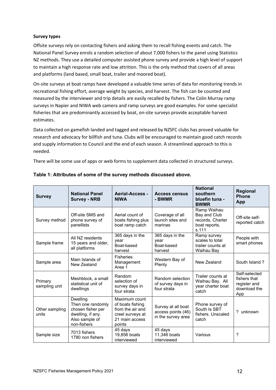#### **Survey types**

Offsite surveys rely on contacting fishers and asking them to recall fishing events and catch. The National Panel Survey enrols a random selection of about 7,000 fishers to the panel using Statistics NZ methods. They use a detailed computer assisted phone survey and provide a high level of support to maintain a high response rate and low attrition. This is the only method that covers of all areas and platforms (land based, small boat, trailer and moored boat).

On-site surveys at boat ramps have developed a valuable time series of data for monitoring trends in recreational fishing effort, average weight by species, and harvest. The fish can be counted and measured by the interviewer and trip details are easily recalled by fishers. The Colin Murray ramp surveys in Napier and NIWA web camera and ramp surveys are good examples. For some specialist fisheries that are predominantly accessed by boat, on-site surveys provide acceptable harvest estimates.

Data collected on gamefish landed and tagged and released by NZSFC clubs has proved valuable for research and advocacy for billfish and tuna. Clubs will be encouraged to maintain good catch records and supply information to Council and the end of each season. A streamlined approach to this is needed.

There will be some use of apps or web forms to supplement data collected in structured surveys.

| <b>Survey</b>            | <b>National Panel</b><br><b>Survey - NRB</b>                                                                    | <b>Aerial-Access -</b><br><b>NIWA</b>                                                                 | <b>Access census</b><br>- BWMR                                 | <b>National</b><br>southern<br>bluefin tuna -<br><b>BWMR</b>              | <b>Regional</b><br><b>Phone</b><br>App                               |
|--------------------------|-----------------------------------------------------------------------------------------------------------------|-------------------------------------------------------------------------------------------------------|----------------------------------------------------------------|---------------------------------------------------------------------------|----------------------------------------------------------------------|
| Survey method            | Off-site SMS and<br>phone survey of<br>panellists                                                               | Aerial count of<br>boats fishing plus<br>boat ramp catch                                              | Coverage of all<br>launch sites and<br>marinas                 | Ramp Waihau<br>Bay and Club<br>records, Charter<br>boat reports,<br>s.111 | Off-site self-<br>reported catch                                     |
| Sample frame             | All NZ residents<br>15 years and older,<br>all platforms                                                        | 365 days in the<br>year<br>Boat-based<br>harvest                                                      | 365 days in the<br>vear<br>Boat-based<br>harvest               | Ramp survey<br>scales to total<br>trailer counts at<br>Waihau Bay         | People with<br>smart phones                                          |
| Sample area              | Main Islands of<br>New Zealand                                                                                  | <b>Fisheries</b><br>Management<br>Area 1                                                              | Western Bay of<br>Plenty                                       | New Zealand                                                               | South Island?                                                        |
| Primary<br>sampling unit | Meshblock, a small<br>statistical unit of<br>dwellings                                                          | Random<br>selection of<br>survey days in<br>four strata                                               | Random selection<br>of survey days in<br>four strata           | Trailer counts at<br>Waihau Bay. All<br>year charter boat<br>catch        | Self-selected<br>fishers that<br>register and<br>download the<br>App |
| Other sampling<br>units  | <b>Dwelling</b><br>Then one randomly<br>chosen fisher per<br>dwelling, if any.<br>Also sample of<br>non-fishers | Maximum count<br>of boats fishing<br>from the air and<br>creel surveys at<br>21 main access<br>points | Survey at all boat<br>access points (46)<br>in the survey area | Phone survey of<br>South Is SBT<br>fishers. Unscaled<br>catch             | ? unknown                                                            |
| Sample size              | 7013 fishers<br>1780 non fishers                                                                                | 45 days<br>19,856 boats<br>interviewed                                                                | 45 days<br>11,346 boats<br>interviewed                         | Various                                                                   | ?                                                                    |

#### **Table 1: Attributes of some of the survey methods discussed above.**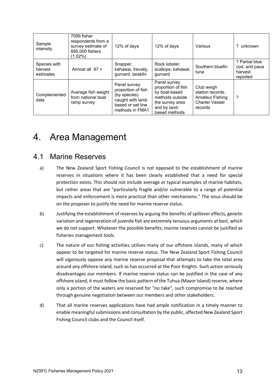| Sample<br>intensity                  | 7099 fisher<br>respondents from a<br>survey estimate of<br>695,000 fishers<br>$(1.02\%)$ | 12% of days                                                                                                     | 12% of days                                                                                                                | Various                                                                                      | ? unknown                                              |
|--------------------------------------|------------------------------------------------------------------------------------------|-----------------------------------------------------------------------------------------------------------------|----------------------------------------------------------------------------------------------------------------------------|----------------------------------------------------------------------------------------------|--------------------------------------------------------|
| Species with<br>harvest<br>estimates | Almost all $87 +$                                                                        | Snapper,<br>kahawai, trevally,<br>gurnard, tarakihi                                                             | Rock lobster,<br>scallops, kahawai,<br>gurnard                                                                             | Southern bluefin<br>tuna                                                                     | ? Partial blue<br>cod, and paua<br>harvest<br>reported |
| Complemented<br>data                 | Average fish weight<br>from national boat<br>ramp survey                                 | Panel survey<br>proportion of fish<br>(by species)<br>caught with land-<br>based or set line<br>methods in FMA1 | Panel survey<br>proportion of fish<br>by boat-based<br>methods outside<br>the survey area<br>and by land-<br>based methods | Club weigh<br>station records.<br><b>Amateur Fishing</b><br><b>Charter Vessel</b><br>records | ?                                                      |

# 4. Area Management

## 4.1 Marine Reserves

- a) The New Zealand Sport Fishing Council is not opposed to the establishment of marine reserves in situations where it has been clearly established that a need for special protection exists. This should not include average or typical examples of marine habitats, but rather areas that are "particularly fragile and/or vulnerable to a range of potential impacts and enforcement is more practical than other mechanisms." The onus should be on the proposer to justify the need for marine reserve status.
- b) Justifying the establishment of reserves by arguing the benefits of spillover effects, genetic variation and regeneration of juvenile fish are extremely tenuous arguments at best, which we do not support. Whatever the possible benefits, marine reserves cannot be justified as fisheries management tools.
- c) The nature of our fishing activities utilises many of our offshore islands, many of which appear to be targeted for marine reserve status. The New Zealand Sport Fishing Council will vigorously oppose any marine reserve proposal that attempts to take the total area around any offshore island, such as has occurred at the Poor Knights. Such action seriously disadvantages our members. If marine reserve status can be justified in the case of any offshore island, it must follow the basic pattern of the Tuhua (Mayor Island) reserve, where only a portion of the waters are reserved for "no take", such compromise to be reached through genuine negotiation between our members and other stakeholders.
- d) That all marine reserves applications have had ample notification in a timely manner to enable meaningful submissions and consultation by the public, affected New Zealand Sport Fishing Council clubs and the Council itself.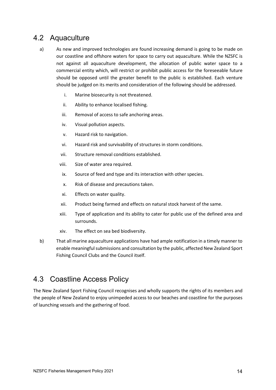## 4.2 Aquaculture

- a) As new and improved technologies are found increasing demand is going to be made on our coastline and offshore waters for space to carry out aquaculture. While the NZSFC is not against all aquaculture development, the allocation of public water space to a commercial entity which, will restrict or prohibit public access for the foreseeable future should be opposed until the greater benefit to the public is established. Each venture should be judged on its merits and consideration of the following should be addressed.
	- i. Marine biosecurity is not threatened.
	- ii. Ability to enhance localised fishing.
	- iii. Removal of access to safe anchoring areas.
	- iv. Visual pollution aspects.
	- v. Hazard risk to navigation.
	- vi. Hazard risk and survivability of structures in storm conditions.
	- vii. Structure removal conditions established.
	- viii. Size of water area required.
	- ix. Source of feed and type and its interaction with other species.
	- x. Risk of disease and precautions taken.
	- xi. Effects on water quality.
	- xii. Product being farmed and effects on natural stock harvest of the same.
	- xiii. Type of application and its ability to cater for public use of the defined area and surrounds.
	- xiv. The effect on sea bed biodiversity.
- b) That all marine aquaculture applications have had ample notification in a timely manner to enable meaningful submissions and consultation by the public, affected New Zealand Sport Fishing Council Clubs and the Council itself.

## 4.3 Coastline Access Policy

The New Zealand Sport Fishing Council recognises and wholly supports the rights of its members and the people of New Zealand to enjoy unimpeded access to our beaches and coastline for the purposes of launching vessels and the gathering of food.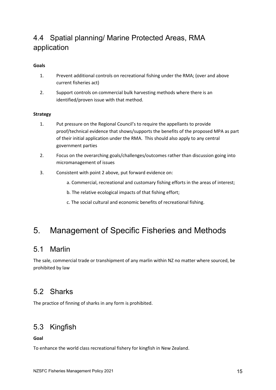## 4.4 Spatial planning/ Marine Protected Areas, RMA application

#### **Goals**

- 1. Prevent additional controls on recreational fishing under the RMA; (over and above current fisheries act)
- 2. Support controls on commercial bulk harvesting methods where there is an identified/proven issue with that method.

#### **Strategy**

- 1. Put pressure on the Regional Council's to require the appellants to provide proof/technical evidence that shows/supports the benefits of the proposed MPA as part of their initial application under the RMA. This should also apply to any central government parties
- 2. Focus on the overarching goals/challenges/outcomes rather than discussion going into micromanagement of issues
- 3. Consistent with point 2 above, put forward evidence on:
	- a. Commercial, recreational and customary fishing efforts in the areas of interest;
	- b. The relative ecological impacts of that fishing effort;
	- c. The social cultural and economic benefits of recreational fishing.

## 5. Management of Specific Fisheries and Methods

## 5.1 Marlin

The sale, commercial trade or transhipment of any marlin within NZ no matter where sourced, be prohibited by law

## 5.2 Sharks

The practice of finning of sharks in any form is prohibited.

## 5.3 Kingfish

**Goal**

To enhance the world class recreational fishery for kingfish in New Zealand.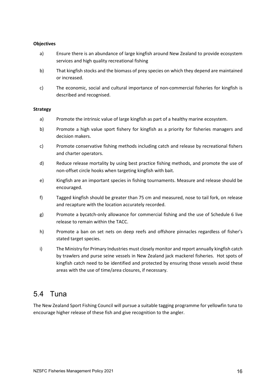#### **Objectives**

- a) Ensure there is an abundance of large kingfish around New Zealand to provide ecosystem services and high quality recreational fishing
- b) That kingfish stocks and the biomass of prey species on which they depend are maintained or increased.
- c) The economic, social and cultural importance of non-commercial fisheries for kingfish is described and recognised.

#### **Strategy**

- a) Promote the intrinsic value of large kingfish as part of a healthy marine ecosystem.
- b) Promote a high value sport fishery for kingfish as a priority for fisheries managers and decision makers.
- c) Promote conservative fishing methods including catch and release by recreational fishers and charter operators.
- d) Reduce release mortality by using best practice fishing methods, and promote the use of non-offset circle hooks when targeting kingfish with bait.
- e) Kingfish are an important species in fishing tournaments. Measure and release should be encouraged.
- f) Tagged kingfish should be greater than 75 cm and measured, nose to tail fork, on release and recapture with the location accurately recorded.
- g) Promote a bycatch-only allowance for commercial fishing and the use of Schedule 6 live release to remain within the TACC.
- h) Promote a ban on set nets on deep reefs and offshore pinnacles regardless of fisher's stated target species.
- i) The Ministry for Primary Industries must closely monitor and report annually kingfish catch by trawlers and purse seine vessels in New Zealand jack mackerel fisheries. Hot spots of kingfish catch need to be identified and protected by ensuring those vessels avoid these areas with the use of time/area closures, if necessary.

## 5.4 Tuna

The New Zealand Sport Fishing Council will pursue a suitable tagging programme for yellowfin tuna to encourage higher release of these fish and give recognition to the angler.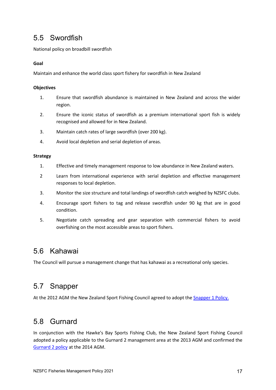## 5.5 Swordfish

National policy on broadbill swordfish

#### **Goal**

Maintain and enhance the world class sport fishery for swordfish in New Zealand

#### **Objectives**

- 1. Ensure that swordfish abundance is maintained in New Zealand and across the wider region.
- 2. Ensure the iconic status of swordfish as a premium international sport fish is widely recognised and allowed for in New Zealand.
- 3. Maintain catch rates of large swordfish (over 200 kg).
- 4. Avoid local depletion and serial depletion of areas.

#### **Strategy**

- 1. Effective and timely management response to low abundance in New Zealand waters.
- 2 Learn from international experience with serial depletion and effective management responses to local depletion.
- 3. Monitor the size structure and total landings of swordfish catch weighed by NZSFC clubs.
- 4. Encourage sport fishers to tag and release swordfish under 90 kg that are in good condition.
- 5. Negotiate catch spreading and gear separation with commercial fishers to avoid overfishing on the most accessible areas to sport fishers.

## 5.6 Kahawai

The Council will pursue a management change that has kahawai as a recreational only species.

## 5.7 Snapper

At the 2012 AGM the New Zealand Sport Fishing Council agreed to adopt th[e Snapper 1 Policy.](https://www.nzsportfishing.co.nz/wp-content/uploads/2020/06/NZSFC-SNA1-policy-Oct12.pdf)

## 5.8 Gurnard

In conjunction with the Hawke's Bay Sports Fishing Club, the New Zealand Sport Fishing Council adopted a policy applicable to the Gurnard 2 management area at the 2013 AGM and confirmed the [Gurnard 2 policy](https://www.nzsportfishing.co.nz/wp-content/uploads/2020/01/GUR2-Policy-recreational-Jul13.pdf) at the 2014 AGM.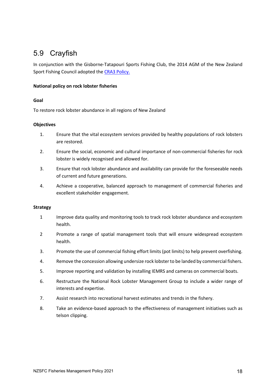## 5.9 Crayfish

In conjunction with the Gisborne-Tatapouri Sports Fishing Club, the 2014 AGM of the New Zealand Sport Fishing Council adopted the [CRA3 Policy.](https://www.nzsportfishing.co.nz/wp-content/uploads/2020/01/Crayfish-3-policy-July-2014.pdf)

#### **National policy on rock lobster fisheries**

#### **Goal**

To restore rock lobster abundance in all regions of New Zealand

#### **Objectives**

- 1. Ensure that the vital ecosystem services provided by healthy populations of rock lobsters are restored.
- 2. Ensure the social, economic and cultural importance of non-commercial fisheries for rock lobster is widely recognised and allowed for.
- 3. Ensure that rock lobster abundance and availability can provide for the foreseeable needs of current and future generations.
- 4. Achieve a cooperative, balanced approach to management of commercial fisheries and excellent stakeholder engagement.

#### **Strategy**

- 1 Improve data quality and monitoring tools to track rock lobster abundance and ecosystem health.
- 2 Promote a range of spatial management tools that will ensure widespread ecosystem health.
- 3. Promote the use of commercial fishing effort limits (pot limits) to help prevent overfishing.
- 4. Remove the concession allowing undersize rock lobster to be landed by commercial fishers.
- 5. Improve reporting and validation by installing IEMRS and cameras on commercial boats.
- 6. Restructure the National Rock Lobster Management Group to include a wider range of interests and expertise.
- 7. Assist research into recreational harvest estimates and trends in the fishery.
- 8. Take an evidence-based approach to the effectiveness of management initiatives such as telson clipping.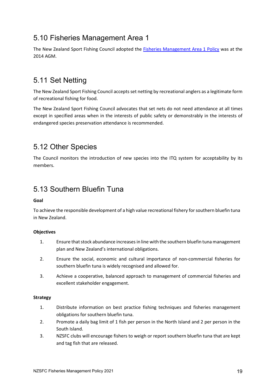## 5.10 Fisheries Management Area 1

The New Zealand Sport Fishing Council adopted the [Fisheries Management Area 1 Policy](https://www.nzsportfishing.co.nz/wp-content/uploads/2020/07/FMA1-Policy-NZSFC-Jul14.pdf) was at the 2014 AGM.

## 5.11 Set Netting

The New Zealand Sport Fishing Council accepts set netting by recreational anglers as a legitimate form of recreational fishing for food.

The New Zealand Sport Fishing Council advocates that set nets do not need attendance at all times except in specified areas when in the interests of public safety or demonstrably in the interests of endangered species preservation attendance is recommended.

## 5.12 Other Species

The Council monitors the introduction of new species into the ITQ system for acceptability by its members.

## 5.13 Southern Bluefin Tuna

#### **Goal**

To achieve the responsible development of a high value recreational fishery for southern bluefin tuna in New Zealand.

#### **Objectives**

- 1. Ensure that stock abundance increases in line with the southern bluefin tuna management plan and New Zealand's international obligations.
- 2. Ensure the social, economic and cultural importance of non-commercial fisheries for southern bluefin tuna is widely recognised and allowed for.
- 3. Achieve a cooperative, balanced approach to management of commercial fisheries and excellent stakeholder engagement.

#### **Strategy**

- 1. Distribute information on best practice fishing techniques and fisheries management obligations for southern bluefin tuna.
- 2. Promote a daily bag limit of 1 fish per person in the North Island and 2 per person in the South Island.
- 3. NZSFC clubs will encourage fishers to weigh or report southern bluefin tuna that are kept and tag fish that are released.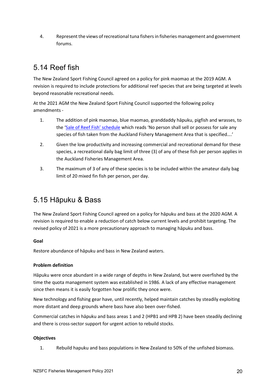4. Represent the views of recreational tuna fishers in fisheries management and government forums.

## 5.14 Reef fish

The New Zealand Sport Fishing Council agreed on a policy for pink maomao at the 2019 AGM. A revision is required to include protections for additional reef species that are being targeted at levels beyond reasonable recreational needs.

At the 2021 AGM the New Zealand Sport Fishing Council supported the following policy amendments -

- 1. The addition of pink maomao, blue maomao, granddaddy hāpuku, pigfish and wrasses, to the ['Sale of Reef Fish' schedule](https://www.legislation.govt.nz/regulation/public/1986/0216/latest/DLM105979.html) which reads 'No person shall sell or possess for sale any species of fish taken from the Auckland Fishery Management Area that is specified….'
- 2. Given the low productivity and increasing commercial and recreational demand for these species, a recreational daily bag limit of three (3) of any of these fish per person applies in the Auckland Fisheries Management Area.
- 3. The maximum of 3 of any of these species is to be included within the amateur daily bag limit of 20 mixed fin fish per person, per day.

## 5.15 Hāpuku & Bass

The New Zealand Sport Fishing Council agreed on a policy for hāpuku and bass at the 2020 AGM. A revision is required to enable a reduction of catch below current levels and prohibit targeting. The revised policy of 2021 is a more precautionary approach to managing hāpuku and bass.

#### **Goal**

Restore abundance of hāpuku and bass in New Zealand waters.

#### **Problem definition**

Hāpuku were once abundant in a wide range of depths in New Zealand, but were overfished by the time the quota management system was established in 1986. A lack of any effective management since then means it is easily forgotten how prolific they once were.

New technology and fishing gear have, until recently, helped maintain catches by steadily exploiting more distant and deep grounds where bass have also been over-fished.

Commercial catches in hāpuku and bass areas 1 and 2 (HPB1 and HPB 2) have been steadily declining and there is cross-sector support for urgent action to rebuild stocks.

#### **Objectives**

1. Rebuild hapuku and bass populations in New Zealand to 50% of the unfished biomass.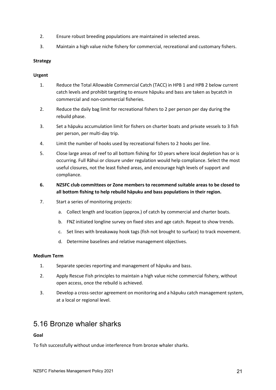- 2. Ensure robust breeding populations are maintained in selected areas.
- 3. Maintain a high value niche fishery for commercial, recreational and customary fishers.

#### **Strategy**

#### **Urgent**

- 1. Reduce the Total Allowable Commercial Catch (TACC) in HPB 1 and HPB 2 below current catch levels and prohibit targeting to ensure hāpuku and bass are taken as bycatch in commercial and non-commercial fisheries.
- 2. Reduce the daily bag limit for recreational fishers to 2 per person per day during the rebuild phase.
- 3. Set a hāpuku accumulation limit for fishers on charter boats and private vessels to 3 fish per person, per multi-day trip.
- 4. Limit the number of hooks used by recreational fishers to 2 hooks per line.
- 5. Close large areas of reef to all bottom fishing for 10 years where local depletion has or is occurring. Full Rāhui or closure under regulation would help compliance. Select the most useful closures, not the least fished areas, and encourage high levels of support and compliance.
- **6. NZSFC club committees or Zone members to recommend suitable areas to be closed to all bottom fishing to help rebuild hāpuku and bass populations in their region.**
- 7. Start a series of monitoring projects:
	- a. Collect length and location (approx.) of catch by commercial and charter boats.
	- b. FNZ initiated longline survey on fixed sites and age catch. Repeat to show trends.
	- c. Set lines with breakaway hook tags (fish not brought to surface) to track movement.
	- d. Determine baselines and relative management objectives.

#### **Medium Term**

- 1. Separate species reporting and management of hāpuku and bass.
- 2. Apply Rescue Fish principles to maintain a high value niche commercial fishery, without open access, once the rebuild is achieved.
- 3. Develop a cross-sector agreement on monitoring and a hāpuku catch management system, at a local or regional level.

## 5.16 Bronze whaler sharks

#### **Goal**

To fish successfully without undue interference from bronze whaler sharks.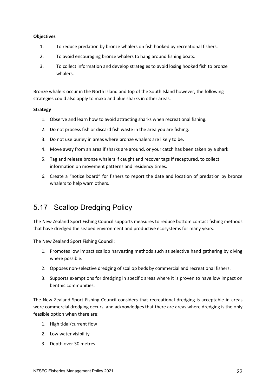#### **Objectives**

- 1. To reduce predation by bronze whalers on fish hooked by recreational fishers.
- 2. To avoid encouraging bronze whalers to hang around fishing boats.
- 3. To collect information and develop strategies to avoid losing hooked fish to bronze whalers.

Bronze whalers occur in the North Island and top of the South Island however, the following strategies could also apply to mako and blue sharks in other areas.

#### **Strategy**

- 1. Observe and learn how to avoid attracting sharks when recreational fishing.
- 2. Do not process fish or discard fish waste in the area you are fishing.
- 3. Do not use burley in areas where bronze whalers are likely to be.
- 4. Move away from an area if sharks are around, or your catch has been taken by a shark.
- 5. Tag and release bronze whalers if caught and recover tags if recaptured, to collect information on movement patterns and residency times.
- 6. Create a "notice board" for fishers to report the date and location of predation by bronze whalers to help warn others.

## 5.17 Scallop Dredging Policy

The New Zealand Sport Fishing Council supports measures to reduce bottom contact fishing methods that have dredged the seabed environment and productive ecosystems for many years.

The New Zealand Sport Fishing Council:

- 1. Promotes low impact scallop harvesting methods such as selective hand gathering by diving where possible.
- 2. Opposes non-selective dredging of scallop beds by commercial and recreational fishers.
- 3. Supports exemptions for dredging in specific areas where it is proven to have low impact on benthic communities.

The New Zealand Sport Fishing Council considers that recreational dredging is acceptable in areas were commercial dredging occurs, and acknowledges that there are areas where dredging is the only feasible option when there are:

- 1. High tidal/current flow
- 2. Low water visibility
- 3. Depth over 30 metres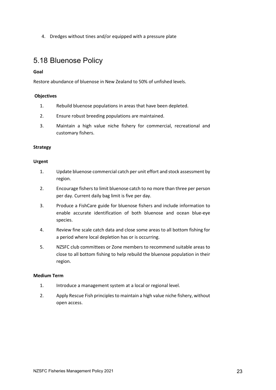4. Dredges without tines and/or equipped with a pressure plate

## 5.18 Bluenose Policy

#### **Goal**

Restore abundance of bluenose in New Zealand to 50% of unfished levels.

#### **Objectives**

- 1. Rebuild bluenose populations in areas that have been depleted.
- 2. Ensure robust breeding populations are maintained.
- 3. Maintain a high value niche fishery for commercial, recreational and customary fishers.

#### **Strategy**

#### **Urgent**

- 1. Update bluenose commercial catch per unit effort and stock assessment by region.
- 2. Encourage fishers to limit bluenose catch to no more than three per person per day. Current daily bag limit is five per day.
- 3. Produce a FishCare guide for bluenose fishers and include information to enable accurate identification of both bluenose and ocean blue-eye species.
- 4. Review fine scale catch data and close some areas to all bottom fishing for a period where local depletion has or is occurring.
- 5. NZSFC club committees or Zone members to recommend suitable areas to close to all bottom fishing to help rebuild the bluenose population in their region.

#### **Medium Term**

- 1. Introduce a management system at a local or regional level.
- 2. Apply Rescue Fish principles to maintain a high value niche fishery, without open access.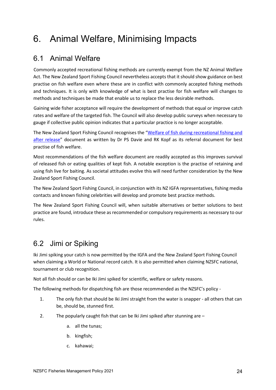# 6. Animal Welfare, Minimising Impacts

## 6.1 Animal Welfare

Commonly accepted recreational fishing methods are currently exempt from the NZ Animal Welfare Act. The New Zealand Sport Fishing Council nevertheless accepts that it should show guidance on best practise on fish welfare even where these are in conflict with commonly accepted fishing methods and techniques. It is only with knowledge of what is best practise for fish welfare will changes to methods and techniques be made that enable us to replace the less desirable methods.

Gaining wide fisher acceptance will require the development of methods that equal or improve catch rates and welfare of the targeted fish. The Council will also develop public surveys when necessary to gauge if collective public opinion indicates that a particular practice is no longer acceptable.

The New Zealand Sport Fishing Council recognises the ["Welfare of fish during recreational fishing and](https://www.researchgate.net/publication/6873157_Physiology_behaviour_and_welfare_of_fish_during_recreational_fishing_and_after_release)  [after release"](https://www.researchgate.net/publication/6873157_Physiology_behaviour_and_welfare_of_fish_during_recreational_fishing_and_after_release) document as written by Dr PS Davie and RK Kopf as its referral document for best practise of fish welfare.

Most recommendations of the fish welfare document are readily accepted as this improves survival of released fish or eating qualities of kept fish. A notable exception is the practise of retaining and using fish live for baiting. As societal attitudes evolve this will need further consideration by the New Zealand Sport Fishing Council.

The New Zealand Sport Fishing Council, in conjunction with its NZ IGFA representatives, fishing media contacts and known fishing celebrities will develop and promote best practice methods.

The New Zealand Sport Fishing Council will, when suitable alternatives or better solutions to best practice are found, introduce these as recommended or compulsory requirements as necessary to our rules.

## 6.2 Jimi or Spiking

Iki Jimi spiking your catch is now permitted by the IGFA and the New Zealand Sport Fishing Council when claiming a World or National record catch. It is also permitted when claiming NZSFC national, tournament or club recognition.

Not all fish should or can be Iki Jimi spiked for scientific, welfare or safety reasons.

The following methods for dispatching fish are those recommended as the NZSFC's policy -

- 1. The only fish that should be Iki Jimi straight from the water is snapper all others that can be, should be, stunned first.
- 2. The popularly caught fish that can be Iki Jimi spiked after stunning are
	- a. all the tunas;
	- b. kingfish;
	- c. kahawai;